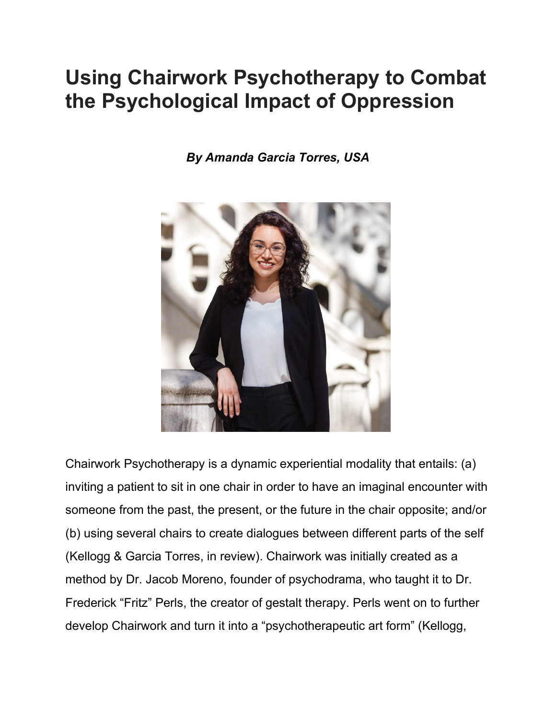# **Using Chairwork Psychotherapy to Combat the Psychological Impact of Oppression**

*By Amanda Garcia Torres, USA*



Chairwork Psychotherapy is a dynamic experiential modality that entails: (a) inviting a patient to sit in one chair in order to have an imaginal encounter with someone from the past, the present, or the future in the chair opposite; and/or (b) using several chairs to create dialogues between different parts of the self (Kellogg & Garcia Torres, in review). Chairwork was initially created as a method by Dr. Jacob Moreno, founder of psychodrama, who taught it to Dr. Frederick "Fritz" Perls, the creator of gestalt therapy. Perls went on to further develop Chairwork and turn it into a "psychotherapeutic art form" (Kellogg,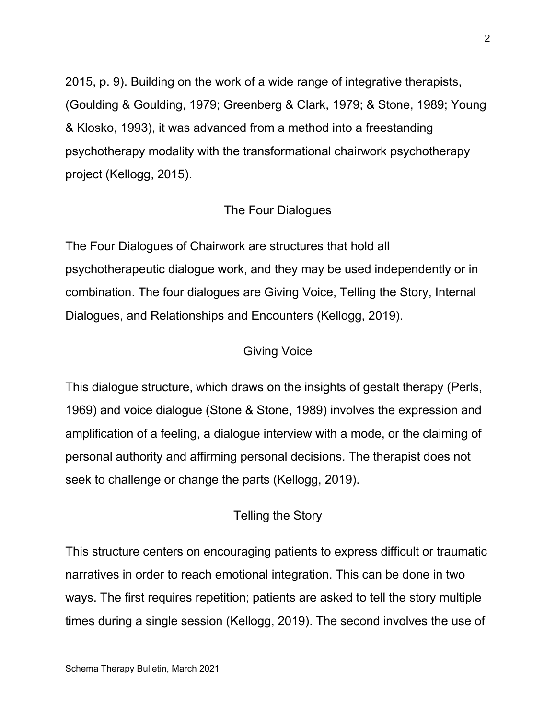2015, p. 9). Building on the work of a wide range of integrative therapists, (Goulding & Goulding, 1979; Greenberg & Clark, 1979; & Stone, 1989; Young & Klosko, 1993), it was advanced from a method into a freestanding psychotherapy modality with the transformational chairwork psychotherapy project (Kellogg, 2015).

## The Four Dialogues

The Four Dialogues of Chairwork are structures that hold all psychotherapeutic dialogue work, and they may be used independently or in combination. The four dialogues are Giving Voice, Telling the Story, Internal Dialogues, and Relationships and Encounters (Kellogg, 2019).

## Giving Voice

This dialogue structure, which draws on the insights of gestalt therapy (Perls, 1969) and voice dialogue (Stone & Stone, 1989) involves the expression and amplification of a feeling, a dialogue interview with a mode, or the claiming of personal authority and affirming personal decisions. The therapist does not seek to challenge or change the parts (Kellogg, 2019).

#### Telling the Story

This structure centers on encouraging patients to express difficult or traumatic narratives in order to reach emotional integration. This can be done in two ways. The first requires repetition; patients are asked to tell the story multiple times during a single session (Kellogg, 2019). The second involves the use of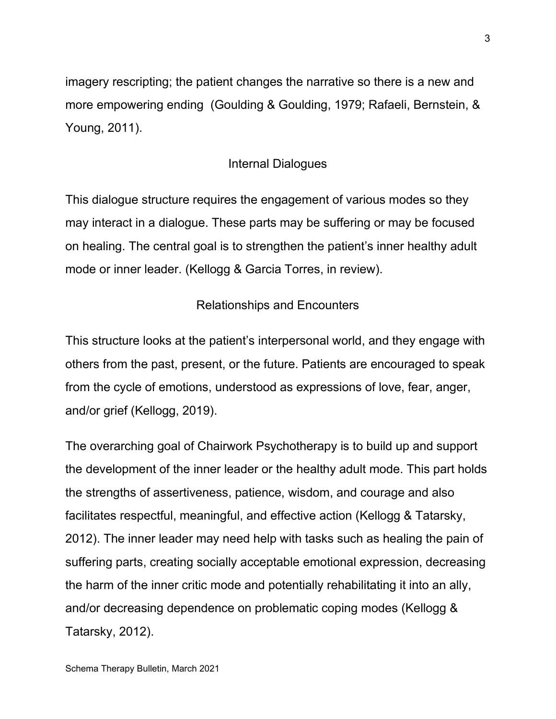imagery rescripting; the patient changes the narrative so there is a new and more empowering ending (Goulding & Goulding, 1979; Rafaeli, Bernstein, & Young, 2011).

# Internal Dialogues

This dialogue structure requires the engagement of various modes so they may interact in a dialogue. These parts may be suffering or may be focused on healing. The central goal is to strengthen the patient's inner healthy adult mode or inner leader. (Kellogg & Garcia Torres, in review).

## Relationships and Encounters

This structure looks at the patient's interpersonal world, and they engage with others from the past, present, or the future. Patients are encouraged to speak from the cycle of emotions, understood as expressions of love, fear, anger, and/or grief (Kellogg, 2019).

The overarching goal of Chairwork Psychotherapy is to build up and support the development of the inner leader or the healthy adult mode. This part holds the strengths of assertiveness, patience, wisdom, and courage and also facilitates respectful, meaningful, and effective action (Kellogg & Tatarsky, 2012). The inner leader may need help with tasks such as healing the pain of suffering parts, creating socially acceptable emotional expression, decreasing the harm of the inner critic mode and potentially rehabilitating it into an ally, and/or decreasing dependence on problematic coping modes (Kellogg & Tatarsky, 2012).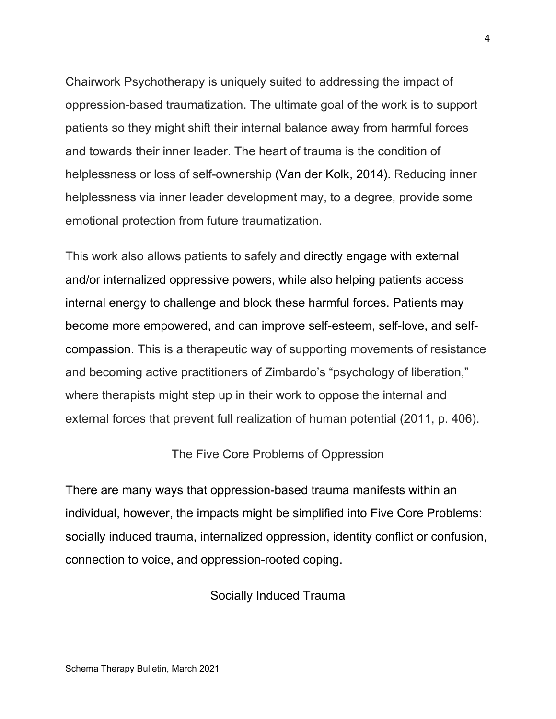Chairwork Psychotherapy is uniquely suited to addressing the impact of oppression-based traumatization. The ultimate goal of the work is to support patients so they might shift their internal balance away from harmful forces and towards their inner leader. The heart of trauma is the condition of helplessness or loss of self-ownership (Van der Kolk, 2014). Reducing inner helplessness via inner leader development may, to a degree, provide some emotional protection from future traumatization.

This work also allows patients to safely and directly engage with external and/or internalized oppressive powers, while also helping patients access internal energy to challenge and block these harmful forces. Patients may become more empowered, and can improve self-esteem, self-love, and selfcompassion. This is a therapeutic way of supporting movements of resistance and becoming active practitioners of Zimbardo's "psychology of liberation," where therapists might step up in their work to oppose the internal and external forces that prevent full realization of human potential (2011, p. 406).

## The Five Core Problems of Oppression

There are many ways that oppression-based trauma manifests within an individual, however, the impacts might be simplified into Five Core Problems: socially induced trauma, internalized oppression, identity conflict or confusion, connection to voice, and oppression-rooted coping.

Socially Induced Trauma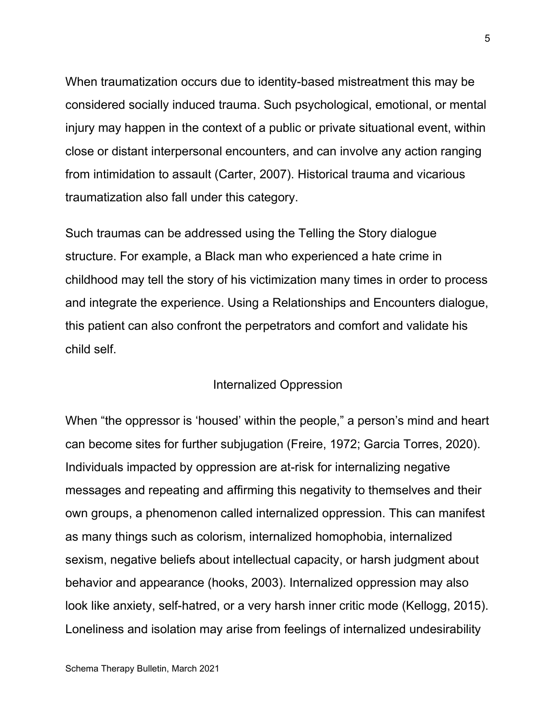When traumatization occurs due to identity-based mistreatment this may be considered socially induced trauma. Such psychological, emotional, or mental injury may happen in the context of a public or private situational event, within close or distant interpersonal encounters, and can involve any action ranging from intimidation to assault (Carter, 2007). Historical trauma and vicarious traumatization also fall under this category.

Such traumas can be addressed using the Telling the Story dialogue structure. For example, a Black man who experienced a hate crime in childhood may tell the story of his victimization many times in order to process and integrate the experience. Using a Relationships and Encounters dialogue, this patient can also confront the perpetrators and comfort and validate his child self.

#### Internalized Oppression

When "the oppressor is 'housed' within the people," a person's mind and heart can become sites for further subjugation (Freire, 1972; Garcia Torres, 2020). Individuals impacted by oppression are at-risk for internalizing negative messages and repeating and affirming this negativity to themselves and their own groups, a phenomenon called internalized oppression. This can manifest as many things such as colorism, internalized homophobia, internalized sexism, negative beliefs about intellectual capacity, or harsh judgment about behavior and appearance (hooks, 2003). Internalized oppression may also look like anxiety, self-hatred, or a very harsh inner critic mode (Kellogg, 2015). Loneliness and isolation may arise from feelings of internalized undesirability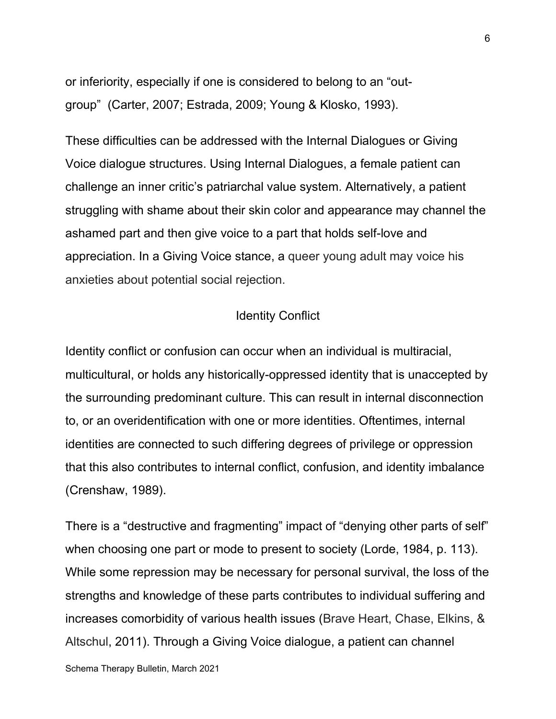or inferiority, especially if one is considered to belong to an "outgroup" (Carter, 2007; Estrada, 2009; Young & Klosko, 1993).

These difficulties can be addressed with the Internal Dialogues or Giving Voice dialogue structures. Using Internal Dialogues, a female patient can challenge an inner critic's patriarchal value system. Alternatively, a patient struggling with shame about their skin color and appearance may channel the ashamed part and then give voice to a part that holds self-love and appreciation. In a Giving Voice stance, a queer young adult may voice his anxieties about potential social rejection.

## Identity Conflict

Identity conflict or confusion can occur when an individual is multiracial, multicultural, or holds any historically-oppressed identity that is unaccepted by the surrounding predominant culture. This can result in internal disconnection to, or an overidentification with one or more identities. Oftentimes, internal identities are connected to such differing degrees of privilege or oppression that this also contributes to internal conflict, confusion, and identity imbalance (Crenshaw, 1989).

There is a "destructive and fragmenting" impact of "denying other parts of self" when choosing one part or mode to present to society (Lorde, 1984, p. 113). While some repression may be necessary for personal survival, the loss of the strengths and knowledge of these parts contributes to individual suffering and increases comorbidity of various health issues (Brave Heart, Chase, Elkins, & Altschul, 2011). Through a Giving Voice dialogue, a patient can channel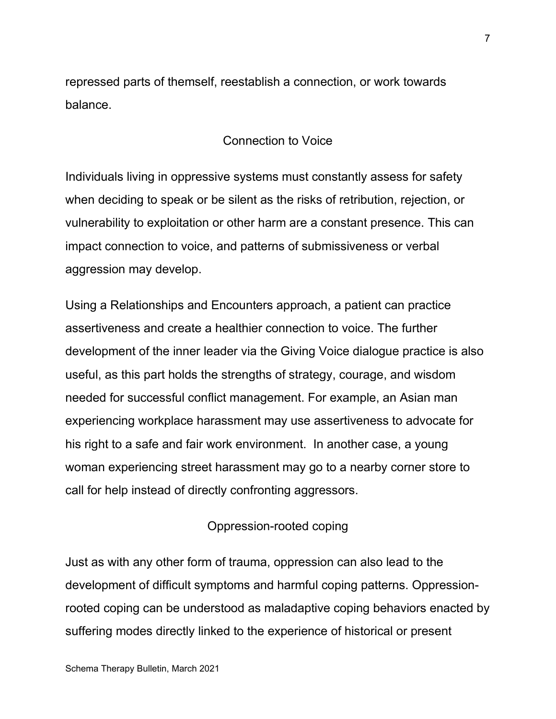repressed parts of themself, reestablish a connection, or work towards balance.

# Connection to Voice

Individuals living in oppressive systems must constantly assess for safety when deciding to speak or be silent as the risks of retribution, rejection, or vulnerability to exploitation or other harm are a constant presence. This can impact connection to voice, and patterns of submissiveness or verbal aggression may develop.

Using a Relationships and Encounters approach, a patient can practice assertiveness and create a healthier connection to voice. The further development of the inner leader via the Giving Voice dialogue practice is also useful, as this part holds the strengths of strategy, courage, and wisdom needed for successful conflict management. For example, an Asian man experiencing workplace harassment may use assertiveness to advocate for his right to a safe and fair work environment. In another case, a young woman experiencing street harassment may go to a nearby corner store to call for help instead of directly confronting aggressors.

#### Oppression-rooted coping

Just as with any other form of trauma, oppression can also lead to the development of difficult symptoms and harmful coping patterns. Oppressionrooted coping can be understood as maladaptive coping behaviors enacted by suffering modes directly linked to the experience of historical or present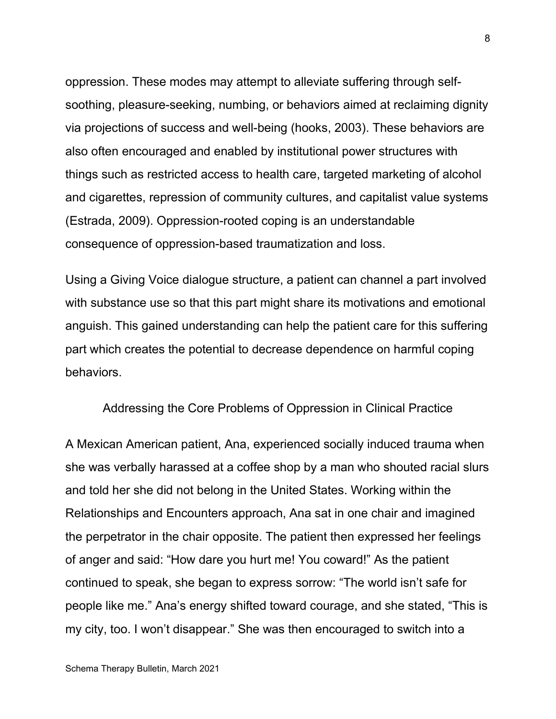oppression. These modes may attempt to alleviate suffering through selfsoothing, pleasure-seeking, numbing, or behaviors aimed at reclaiming dignity via projections of success and well-being (hooks, 2003). These behaviors are also often encouraged and enabled by institutional power structures with things such as restricted access to health care, targeted marketing of alcohol and cigarettes, repression of community cultures, and capitalist value systems (Estrada, 2009). Oppression-rooted coping is an understandable consequence of oppression-based traumatization and loss.

Using a Giving Voice dialogue structure, a patient can channel a part involved with substance use so that this part might share its motivations and emotional anguish. This gained understanding can help the patient care for this suffering part which creates the potential to decrease dependence on harmful coping behaviors.

#### Addressing the Core Problems of Oppression in Clinical Practice

A Mexican American patient, Ana, experienced socially induced trauma when she was verbally harassed at a coffee shop by a man who shouted racial slurs and told her she did not belong in the United States. Working within the Relationships and Encounters approach, Ana sat in one chair and imagined the perpetrator in the chair opposite. The patient then expressed her feelings of anger and said: "How dare you hurt me! You coward!" As the patient continued to speak, she began to express sorrow: "The world isn't safe for people like me." Ana's energy shifted toward courage, and she stated, "This is my city, too. I won't disappear." She was then encouraged to switch into a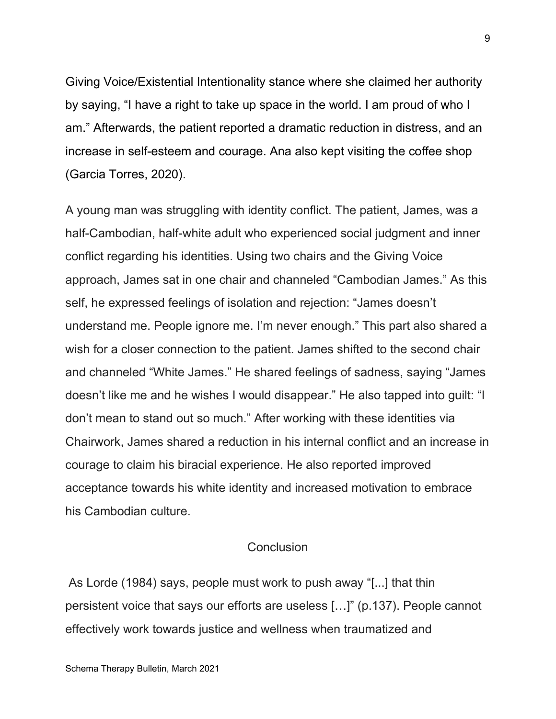Giving Voice/Existential Intentionality stance where she claimed her authority by saying, "I have a right to take up space in the world. I am proud of who I am." Afterwards, the patient reported a dramatic reduction in distress, and an increase in self-esteem and courage. Ana also kept visiting the coffee shop (Garcia Torres, 2020).

A young man was struggling with identity conflict. The patient, James, was a half-Cambodian, half-white adult who experienced social judgment and inner conflict regarding his identities. Using two chairs and the Giving Voice approach, James sat in one chair and channeled "Cambodian James." As this self, he expressed feelings of isolation and rejection: "James doesn't understand me. People ignore me. I'm never enough." This part also shared a wish for a closer connection to the patient. James shifted to the second chair and channeled "White James." He shared feelings of sadness, saying "James doesn't like me and he wishes I would disappear." He also tapped into guilt: "I don't mean to stand out so much." After working with these identities via Chairwork, James shared a reduction in his internal conflict and an increase in courage to claim his biracial experience. He also reported improved acceptance towards his white identity and increased motivation to embrace his Cambodian culture.

#### Conclusion

As Lorde (1984) says, people must work to push away "[...] that thin persistent voice that says our efforts are useless […]" (p.137). People cannot effectively work towards justice and wellness when traumatized and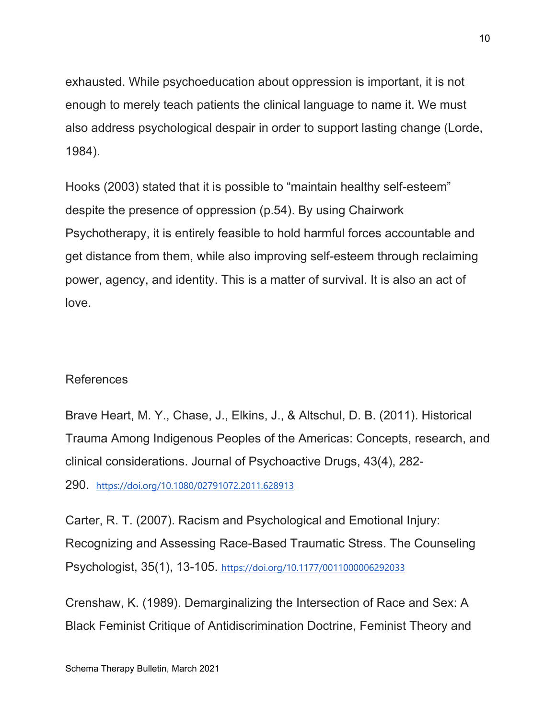exhausted. While psychoeducation about oppression is important, it is not enough to merely teach patients the clinical language to name it. We must also address psychological despair in order to support lasting change (Lorde, 1984).

Hooks (2003) stated that it is possible to "maintain healthy self-esteem" despite the presence of oppression (p.54). By using Chairwork Psychotherapy, it is entirely feasible to hold harmful forces accountable and get distance from them, while also improving self-esteem through reclaiming power, agency, and identity. This is a matter of survival. It is also an act of love.

## References

Brave Heart, M. Y., Chase, J., Elkins, J., & Altschul, D. B. (2011). Historical Trauma Among Indigenous Peoples of the Americas: Concepts, research, and clinical considerations. Journal of Psychoactive Drugs, 43(4), 282- 290. <https://doi.org/10.1080/02791072.2011.628913>

Carter, R. T. (2007). Racism and Psychological and Emotional Injury: Recognizing and Assessing Race-Based Traumatic Stress. The Counseling Psychologist, 35(1), 13-105. <https://doi.org/10.1177/0011000006292033>

Crenshaw, K. (1989). Demarginalizing the Intersection of Race and Sex: A Black Feminist Critique of Antidiscrimination Doctrine, Feminist Theory and